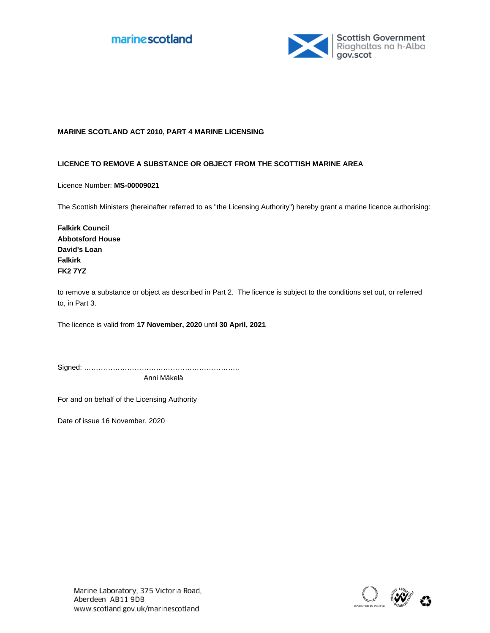



### **MARINE SCOTLAND ACT 2010, PART 4 MARINE LICENSING**

#### **LICENCE TO REMOVE A SUBSTANCE OR OBJECT FROM THE SCOTTISH MARINE AREA**

Licence Number: **MS-00009021**

The Scottish Ministers (hereinafter referred to as "the Licensing Authority") hereby grant a marine licence authorising:

**Falkirk Council Abbotsford House David's Loan Falkirk FK2 7YZ**

to remove a substance or object as described in Part 2. The licence is subject to the conditions set out, or referred to, in Part 3.

The licence is valid from **17 November, 2020** until **30 April, 2021**

Signed: ……………………………………………………….. Anni Mäkelä

For and on behalf of the Licensing Authority

Date of issue 16 November, 2020

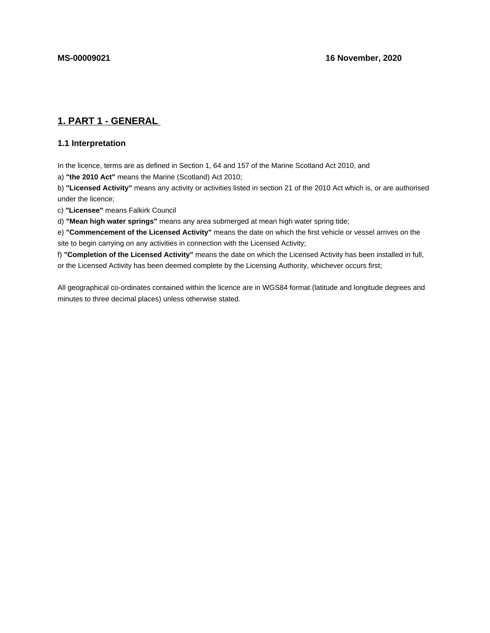# **1. PART 1 - GENERAL**

# **1.1 Interpretation**

In the licence, terms are as defined in Section 1, 64 and 157 of the Marine Scotland Act 2010, and

a) **"the 2010 Act"** means the Marine (Scotland) Act 2010;

b) **"Licensed Activity"** means any activity or activities listed in section 21 of the 2010 Act which is, or are authorised under the licence;

c) **"Licensee"** means Falkirk Council

d) **"Mean high water springs"** means any area submerged at mean high water spring tide;

e) **"Commencement of the Licensed Activity"** means the date on which the first vehicle or vessel arrives on the site to begin carrying on any activities in connection with the Licensed Activity;

f) **"Completion of the Licensed Activity"** means the date on which the Licensed Activity has been installed in full, or the Licensed Activity has been deemed complete by the Licensing Authority, whichever occurs first;

All geographical co-ordinates contained within the licence are in WGS84 format (latitude and longitude degrees and minutes to three decimal places) unless otherwise stated.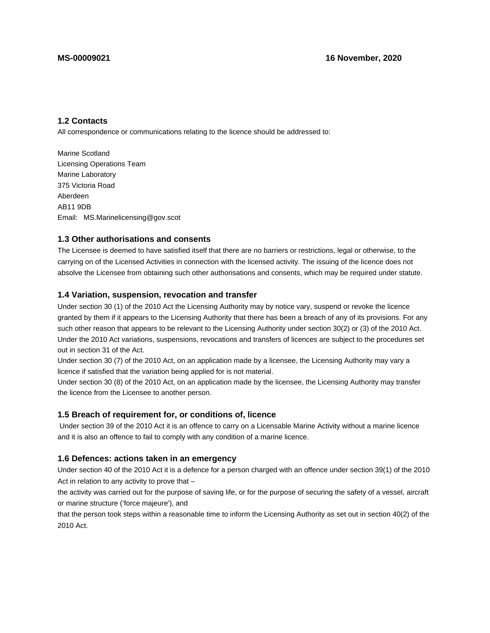# **1.2 Contacts**

All correspondence or communications relating to the licence should be addressed to:

Marine Scotland Licensing Operations Team Marine Laboratory 375 Victoria Road Aberdeen AB11 9DB Email: MS.Marinelicensing@gov.scot

### **1.3 Other authorisations and consents**

The Licensee is deemed to have satisfied itself that there are no barriers or restrictions, legal or otherwise, to the carrying on of the Licensed Activities in connection with the licensed activity. The issuing of the licence does not absolve the Licensee from obtaining such other authorisations and consents, which may be required under statute.

#### **1.4 Variation, suspension, revocation and transfer**

Under section 30 (1) of the 2010 Act the Licensing Authority may by notice vary, suspend or revoke the licence granted by them if it appears to the Licensing Authority that there has been a breach of any of its provisions. For any such other reason that appears to be relevant to the Licensing Authority under section 30(2) or (3) of the 2010 Act. Under the 2010 Act variations, suspensions, revocations and transfers of licences are subject to the procedures set out in section 31 of the Act.

Under section 30 (7) of the 2010 Act, on an application made by a licensee, the Licensing Authority may vary a licence if satisfied that the variation being applied for is not material.

Under section 30 (8) of the 2010 Act, on an application made by the licensee, the Licensing Authority may transfer the licence from the Licensee to another person.

### **1.5 Breach of requirement for, or conditions of, licence**

 Under section 39 of the 2010 Act it is an offence to carry on a Licensable Marine Activity without a marine licence and it is also an offence to fail to comply with any condition of a marine licence.

#### **1.6 Defences: actions taken in an emergency**

Under section 40 of the 2010 Act it is a defence for a person charged with an offence under section 39(1) of the 2010 Act in relation to any activity to prove that –

the activity was carried out for the purpose of saving life, or for the purpose of securing the safety of a vessel, aircraft or marine structure ('force majeure'), and

that the person took steps within a reasonable time to inform the Licensing Authority as set out in section 40(2) of the 2010 Act.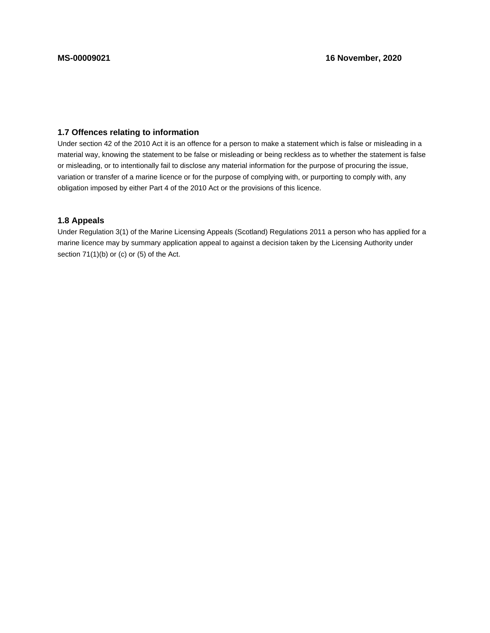# **1.7 Offences relating to information**

Under section 42 of the 2010 Act it is an offence for a person to make a statement which is false or misleading in a material way, knowing the statement to be false or misleading or being reckless as to whether the statement is false or misleading, or to intentionally fail to disclose any material information for the purpose of procuring the issue, variation or transfer of a marine licence or for the purpose of complying with, or purporting to comply with, any obligation imposed by either Part 4 of the 2010 Act or the provisions of this licence.

## **1.8 Appeals**

Under Regulation 3(1) of the Marine Licensing Appeals (Scotland) Regulations 2011 a person who has applied for a marine licence may by summary application appeal to against a decision taken by the Licensing Authority under section 71(1)(b) or (c) or (5) of the Act.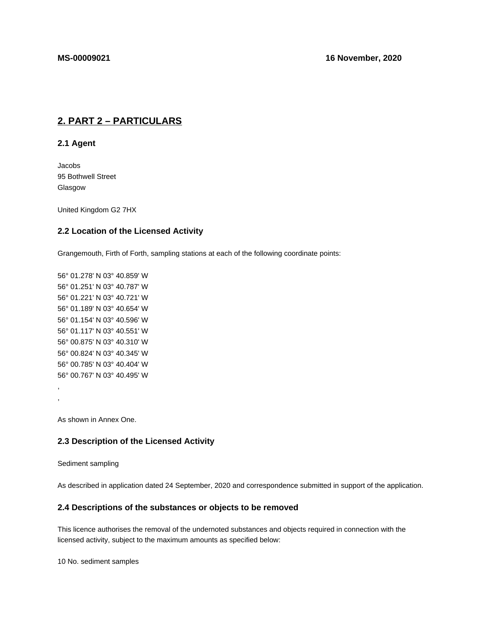# **2. PART 2 – PARTICULARS**

**2.1 Agent**

Jacobs 95 Bothwell Street Glasgow

United Kingdom G2 7HX

#### **2.2 Location of the Licensed Activity**

Grangemouth, Firth of Forth, sampling stations at each of the following coordinate points:

56° 01.278' N 03° 40.859' W 56° 01.251' N 03° 40.787' W 56° 01.221' N 03° 40.721' W 56° 01.189' N 03° 40.654' W 56° 01.154' N 03° 40.596' W 56° 01.117' N 03° 40.551' W 56° 00.875' N 03° 40.310' W 56° 00.824' N 03° 40.345' W 56° 00.785' N 03° 40.404' W 56° 00.767' N 03° 40.495' W , ,

As shown in Annex One.

### **2.3 Description of the Licensed Activity**

#### Sediment sampling

As described in application dated 24 September, 2020 and correspondence submitted in support of the application.

# **2.4 Descriptions of the substances or objects to be removed**

This licence authorises the removal of the undernoted substances and objects required in connection with the licensed activity, subject to the maximum amounts as specified below:

10 No. sediment samples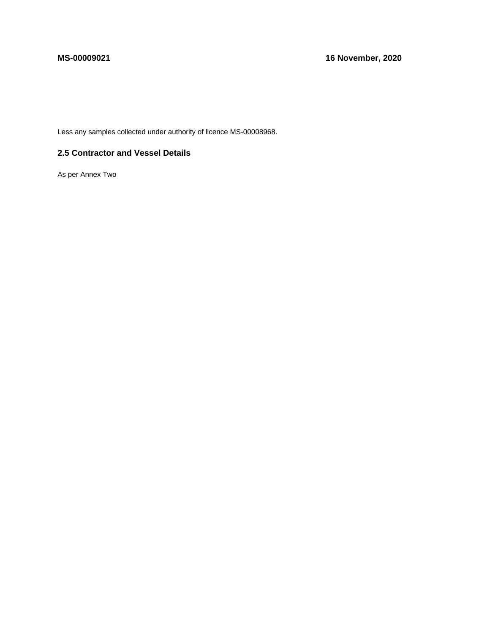Less any samples collected under authority of licence MS-00008968.

# **2.5 Contractor and Vessel Details**

As per Annex Two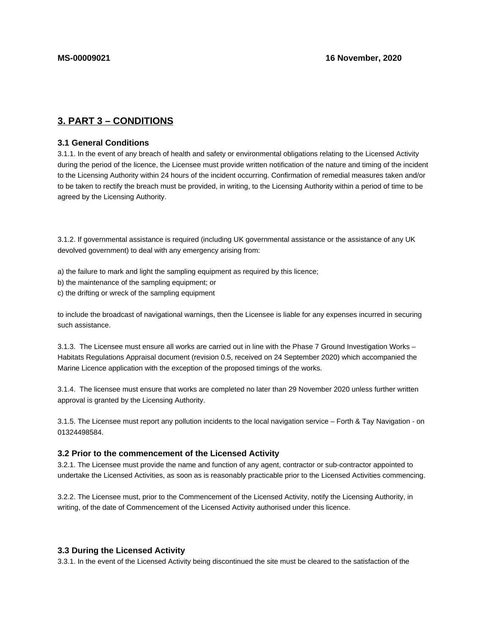# **3. PART 3 – CONDITIONS**

#### **3.1 General Conditions**

3.1.1. In the event of any breach of health and safety or environmental obligations relating to the Licensed Activity during the period of the licence, the Licensee must provide written notification of the nature and timing of the incident to the Licensing Authority within 24 hours of the incident occurring. Confirmation of remedial measures taken and/or to be taken to rectify the breach must be provided, in writing, to the Licensing Authority within a period of time to be agreed by the Licensing Authority.

3.1.2. If governmental assistance is required (including UK governmental assistance or the assistance of any UK devolved government) to deal with any emergency arising from:

a) the failure to mark and light the sampling equipment as required by this licence;

- b) the maintenance of the sampling equipment; or
- c) the drifting or wreck of the sampling equipment

to include the broadcast of navigational warnings, then the Licensee is liable for any expenses incurred in securing such assistance.

3.1.3. The Licensee must ensure all works are carried out in line with the Phase 7 Ground Investigation Works – Habitats Regulations Appraisal document (revision 0.5, received on 24 September 2020) which accompanied the Marine Licence application with the exception of the proposed timings of the works.

3.1.4. The licensee must ensure that works are completed no later than 29 November 2020 unless further written approval is granted by the Licensing Authority.

3.1.5. The Licensee must report any pollution incidents to the local navigation service – Forth & Tay Navigation - on 01324498584.

#### **3.2 Prior to the commencement of the Licensed Activity**

3.2.1. The Licensee must provide the name and function of any agent, contractor or sub-contractor appointed to undertake the Licensed Activities, as soon as is reasonably practicable prior to the Licensed Activities commencing.

3.2.2. The Licensee must, prior to the Commencement of the Licensed Activity, notify the Licensing Authority, in writing, of the date of Commencement of the Licensed Activity authorised under this licence.

### **3.3 During the Licensed Activity**

3.3.1. In the event of the Licensed Activity being discontinued the site must be cleared to the satisfaction of the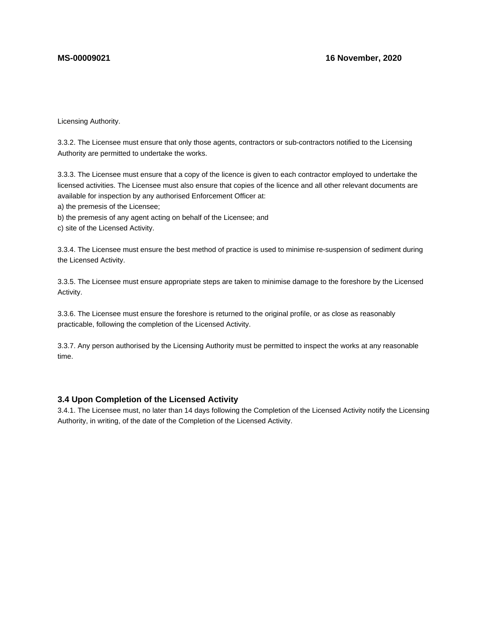Licensing Authority.

3.3.2. The Licensee must ensure that only those agents, contractors or sub-contractors notified to the Licensing Authority are permitted to undertake the works.

3.3.3. The Licensee must ensure that a copy of the licence is given to each contractor employed to undertake the licensed activities. The Licensee must also ensure that copies of the licence and all other relevant documents are available for inspection by any authorised Enforcement Officer at:

a) the premesis of the Licensee;

b) the premesis of any agent acting on behalf of the Licensee; and

c) site of the Licensed Activity.

3.3.4. The Licensee must ensure the best method of practice is used to minimise re-suspension of sediment during the Licensed Activity.

3.3.5. The Licensee must ensure appropriate steps are taken to minimise damage to the foreshore by the Licensed Activity.

3.3.6. The Licensee must ensure the foreshore is returned to the original profile, or as close as reasonably practicable, following the completion of the Licensed Activity.

3.3.7. Any person authorised by the Licensing Authority must be permitted to inspect the works at any reasonable time.

# **3.4 Upon Completion of the Licensed Activity**

3.4.1. The Licensee must, no later than 14 days following the Completion of the Licensed Activity notify the Licensing Authority, in writing, of the date of the Completion of the Licensed Activity.